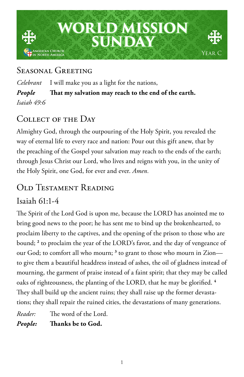

### SEASONAL GREETING

*Celebrant* I will make you as a light for the nations, *People* **That my salvation may reach to the end of the earth.** *Isaiah 49:6*

# COLLECT OF THE DAY

Almighty God, through the outpouring of the Holy Spirit, you revealed the way of eternal life to every race and nation: Pour out this gift anew, that by the preaching of the Gospel your salvation may reach to the ends of the earth; through Jesus Christ our Lord, who lives and reigns with you, in the unity of the Holy Spirit, one God, for ever and ever. *Amen.*

# Old Testament Reading

#### Isaiah 61:1-4

The Spirit of the Lord God is upon me, because the LORD has anointed me to bring good news to the poor; he has sent me to bind up the brokenhearted, to proclaim liberty to the captives, and the opening of the prison to those who are bound; **<sup>2</sup>** to proclaim the year of the LORD's favor, and the day of vengeance of our God; to comfort all who mourn; **<sup>3</sup>** to grant to those who mourn in Zion to give them a beautiful headdress instead of ashes, the oil of gladness instead of mourning, the garment of praise instead of a faint spirit; that they may be called oaks of righteousness, the planting of the LORD, that he may be glorified. **<sup>4</sup>** They shall build up the ancient ruins; they shall raise up the former devastations; they shall repair the ruined cities, the devastations of many generations.

*Reader:* The word of the Lord.

*People:* **Thanks be to God.**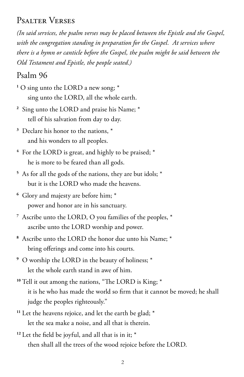#### Psalter Verses

*(In said services, the psalm verses may be placed between the Epistle and the Gospel, with the congregation standing in preparation for the Gospel. At services where there is a hymn or canticle before the Gospel, the psalm might be said between the Old Testament and Epistle, the people seated.)*

#### Psalm 96

- **1** O sing unto the LORD a new song; \* sing unto the LORD, all the whole earth.
- **<sup>2</sup>** Sing unto the LORD and praise his Name; \* tell of his salvation from day to day.
- **<sup>3</sup>** Declare his honor to the nations, \* and his wonders to all peoples.
- **<sup>4</sup>** For the LORD is great, and highly to be praised; \* he is more to be feared than all gods.
- **<sup>5</sup>** As for all the gods of the nations, they are but idols; \* but it is the LORD who made the heavens.
- **<sup>6</sup>** Glory and majesty are before him; \* power and honor are in his sanctuary.
- **<sup>7</sup>** Ascribe unto the LORD, O you families of the peoples, \* ascribe unto the LORD worship and power.
- **<sup>8</sup>** Ascribe unto the LORD the honor due unto his Name; \* bring offerings and come into his courts.
- **<sup>9</sup>** O worship the LORD in the beauty of holiness; \* let the whole earth stand in awe of him.
- **<sup>10</sup>** Tell it out among the nations, "The LORD is King; \* it is he who has made the world so firm that it cannot be moved; he shall judge the peoples righteously."
- <sup>11</sup> Let the heavens rejoice, and let the earth be glad; \* let the sea make a noise, and all that is therein.
- **<sup>12</sup>** Let the field be joyful, and all that is in it; \* then shall all the trees of the wood rejoice before the LORD.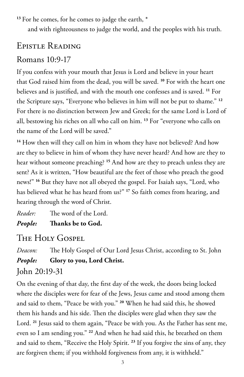<sup>13</sup> For he comes, for he comes to judge the earth,  $*$ 

and with righteousness to judge the world, and the peoples with his truth.

# Epistle Reading

### Romans 10:9-17

If you confess with your mouth that Jesus is Lord and believe in your heart that God raised him from the dead, you will be saved. **<sup>10</sup>** For with the heart one believes and is justified, and with the mouth one confesses and is saved. **<sup>11</sup>** For the Scripture says, "Everyone who believes in him will not be put to shame." **<sup>12</sup>** For there is no distinction between Jew and Greek; for the same Lord is Lord of all, bestowing his riches on all who call on him. **<sup>13</sup>** For "everyone who calls on the name of the Lord will be saved."

<sup>14</sup> How then will they call on him in whom they have not believed? And how are they to believe in him of whom they have never heard? And how are they to hear without someone preaching? **<sup>15</sup>** And how are they to preach unless they are sent? As it is written, "How beautiful are the feet of those who preach the good news!" **<sup>16</sup>** But they have not all obeyed the gospel. For Isaiah says, "Lord, who has believed what he has heard from us?" **<sup>17</sup>** So faith comes from hearing, and hearing through the word of Christ.

*Reader:* The word of the Lord. *People:* **Thanks be to God.** 

# THE HOLY GOSPEL

*Deacon:* The Holy Gospel of Our Lord Jesus Christ, according to St. John *People:* **Glory to you, Lord Christ.** John 20:19-31

On the evening of that day, the first day of the week, the doors being locked where the disciples were for fear of the Jews, Jesus came and stood among them and said to them, "Peace be with you." **<sup>20</sup>** When he had said this, he showed them his hands and his side. Then the disciples were glad when they saw the Lord. **<sup>21</sup>** Jesus said to them again, "Peace be with you. As the Father has sent me, even so I am sending you." **<sup>22</sup>** And when he had said this, he breathed on them and said to them, "Receive the Holy Spirit. **<sup>23</sup>** If you forgive the sins of any, they are forgiven them; if you withhold forgiveness from any, it is withheld."